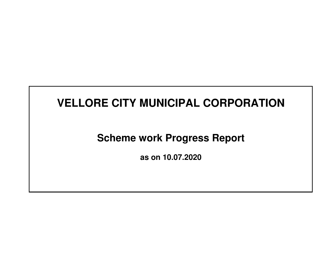# **Scheme work Progress Report**

**as on 10.07.2020**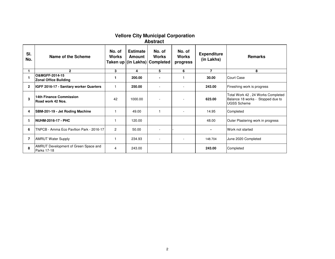# **Vellore City Municipal Corporation Abstract**

| SI.<br>No.     | Name of the Scheme                                  | No. of<br><b>Works</b> | <b>Estimate</b><br>Amount | No. of<br><b>Works</b><br>Taken up (in Lakhs) Completed | No. of<br><b>Works</b><br>progress | <b>Expenditure</b><br>(in Lakhs) | <b>Remarks</b>                                                                               |
|----------------|-----------------------------------------------------|------------------------|---------------------------|---------------------------------------------------------|------------------------------------|----------------------------------|----------------------------------------------------------------------------------------------|
|                | $\mathbf{2}$                                        | 3                      | 4                         | 5                                                       | 6                                  | $\overline{\phantom{a}}$         | 8                                                                                            |
|                | O&MGFF-2014-15<br><b>Zonal Office Building</b>      |                        | 200.00                    |                                                         |                                    | 30.00                            | ICourt Case                                                                                  |
| $\mathbf{2}$   | IGFF 2016-17 - Sanitary worker Quarters             |                        | 250.00                    |                                                         | $\overline{\phantom{a}}$           | 243.00                           | Fineshing work is progress                                                                   |
| 3              | <b>14th Finance Commission</b><br>Road work 42 Nos. | 42                     | 1000.00                   |                                                         |                                    | 623.00                           | Total Work 42, 24 Works Completed<br>Balance 18 works - Stopped due to<br><b>UGSS Scheme</b> |
| 4              | SBM-201-19 - Jet Roding Machine                     |                        | 49.00                     |                                                         | $\overline{\phantom{a}}$           | 14.95                            | Completed                                                                                    |
| 5              | <b>NUHM-2016-17 - PHC</b>                           |                        | 120.00                    |                                                         |                                    | 48.00                            | Outer Plastering work in progress                                                            |
| 6              | TNPCB - Amma Eco Pavilion Park - 2016-17            | $\overline{2}$         | 50.00                     |                                                         |                                    | $\blacksquare$                   | Work not started                                                                             |
| $\overline{7}$ | <b>AMRUT Water Supply</b>                           |                        | 234.93                    |                                                         |                                    | 148.704                          | June 2020 Completed                                                                          |
| 8              | AMRUT Development of Green Space and<br>Parks 17-18 | 4                      | 243.00                    |                                                         |                                    | 243.00                           | Completed                                                                                    |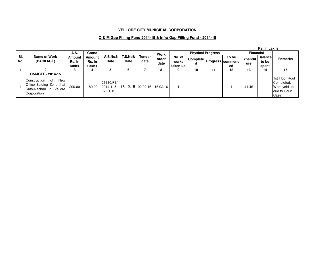#### **O & M Gap Filling Fund 2014-15 & Infra Gap Filling Fund - 2014-15**

|            |                                                                                                   |                           |                           |                                       |                   |                       |               |                               |                 |                          |                                           |                        | <b>Rs. In Lakhs</b>              |                                                                       |
|------------|---------------------------------------------------------------------------------------------------|---------------------------|---------------------------|---------------------------------------|-------------------|-----------------------|---------------|-------------------------------|-----------------|--------------------------|-------------------------------------------|------------------------|----------------------------------|-----------------------------------------------------------------------|
|            |                                                                                                   | A.S.                      | Grand                     |                                       |                   |                       | Work          |                               |                 | <b>Physical Progress</b> |                                           | <b>Financial</b>       |                                  |                                                                       |
| SI.<br>No. | Name of Work<br>(PACKAGE)                                                                         | Amount<br>Rs. In<br>lakhs | Amount<br>Rs. In<br>Lakhs | A.S.No&<br>Date                       | T.S.No&<br>Date   | <b>Tender</b><br>date | order<br>date | No. of<br>works<br>taken up l | <b>Complete</b> |                          | To be<br><b>I Progress commenc!</b><br>ed | <b>Expendit</b><br>ure | <b>Balance</b><br>to be<br>spent | Remarks                                                               |
|            |                                                                                                   |                           |                           |                                       |                   |                       | 8             | 9                             | 10              | 11                       | 12                                        | 13                     | 14                               | 15                                                                    |
|            | O&MGFF-2014-15                                                                                    |                           |                           |                                       |                   |                       |               |                               |                 |                          |                                           |                        |                                  |                                                                       |
|            | New<br>IConstruction<br>of<br>Office Bulding Zone-II at<br>Sathuvachari in Vellore<br>Corporation | 200.00                    | 180.00                    | 26110/P1/<br>$2014 - 1$ &<br>07.01.15 | 18.12.15 02.02.16 |                       | 16.02.16      |                               |                 |                          |                                           | 41.46                  |                                  | 1st Floor Roof<br>Completed.<br>Work yeld up<br>due to Court<br>Case. |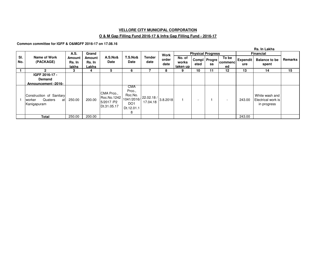#### **O & M Gap Filling Fund 2016-17 & Infra Gap Filling Fund - 2016-17**

**Common committee for IGFF & O&MGFF 2016-17 on 17.08.16**

|            |                                                                     |                           |                           |                                                                  |                                                                |                                                                                                        |               |                             |                          |                      |                          |                        | Rs. In Lakhs                                        |                |
|------------|---------------------------------------------------------------------|---------------------------|---------------------------|------------------------------------------------------------------|----------------------------------------------------------------|--------------------------------------------------------------------------------------------------------|---------------|-----------------------------|--------------------------|----------------------|--------------------------|------------------------|-----------------------------------------------------|----------------|
|            |                                                                     | A.S.                      | Grand                     |                                                                  |                                                                |                                                                                                        | Work          |                             | <b>Physical Progress</b> |                      |                          |                        | <b>Financial</b>                                    |                |
| SI.<br>No. | Name of Work<br>(PACKAGE)                                           | Amount<br>Rs. In<br>lakhs | Amount<br>Rs. In<br>Lakhs | A.S.No&<br>Date                                                  | T.S.No&<br>Date                                                | <b>Tender</b><br>date                                                                                  | order<br>date | No. of<br>works<br>taken up | eted                     | Compl   Progre<br>SS | To be<br>commenc<br>ed   | <b>Expendit</b><br>ure | <b>Balance to be</b><br>spent                       | <b>Remarks</b> |
|            | C                                                                   | 3                         | 4                         | 5                                                                | 6                                                              |                                                                                                        | 8             |                             | 10                       | 11                   | 12                       | 13                     | 14                                                  | 15             |
|            | IGFF 2016-17 -<br><b>Demand</b><br>Announcement -2016-              |                           |                           |                                                                  |                                                                |                                                                                                        |               |                             |                          |                      |                          |                        |                                                     |                |
|            | Construction of Sanitary<br>Quaters<br>atl<br>worker<br>Kanigapuram | 250.00                    | 200.00                    | CMA Prco.,<br>Roc.No.1242 1041/2016/<br>5/2017/P2<br>Dt.31.05.17 | CMA<br>Prco.,<br>Roc.No.<br>DO <sub>1</sub><br>Dt.12.01.1<br>8 | $\begin{array}{ c c c c }\n\hline\n 22.02.18 & 3.8.2018 \\ \hline\n17.04.18 & & \\\hline\n\end{array}$ |               |                             |                          |                      | $\overline{\phantom{a}}$ | 243.00                 | White wash and<br>Electrical work is<br>in progress |                |
|            | Total                                                               | 250.00                    | 200.00                    |                                                                  |                                                                |                                                                                                        |               |                             |                          |                      |                          | 243.00                 |                                                     |                |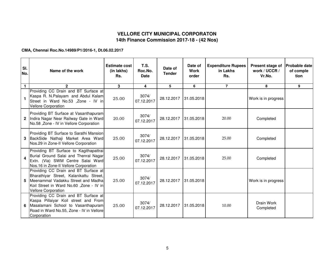## **VELLORE CITY MUNICIPAL CORPORATON14th Finance Commission 2017-18 - (42 Nos)**

**CMA, Chennai Roc.No.14989/P1/2016-1, Dt.06.02.2017**

| SI.<br>No.     | Name of the work                                                                                                                                                                               | <b>Estimate cost</b><br>(in lakhs)<br>Rs. | <b>T.S.</b><br>Roc.No.<br><b>Date</b> | Date of<br><b>Tender</b> | Date of<br><b>Work</b><br>order | <b>Expenditure Rupees</b><br>in Lakhs<br>Rs. | Present stage of<br>work / UCCR /<br>Vr.No. | <b>Probable date</b><br>of comple<br>tion |
|----------------|------------------------------------------------------------------------------------------------------------------------------------------------------------------------------------------------|-------------------------------------------|---------------------------------------|--------------------------|---------------------------------|----------------------------------------------|---------------------------------------------|-------------------------------------------|
| $\blacksquare$ | $\mathbf{2}$                                                                                                                                                                                   | 3                                         | 4                                     | 5                        | 6                               | $\overline{7}$                               | 8                                           | 9                                         |
|                | Providing CC Drain and BT Surface at<br>Kaspa R. N. Palayam and Abdul Kalam<br>Street in Ward No.53 , Zone - IV in<br><b>Vellore Corporation</b>                                               | 25.00                                     | 3074/<br>07.12.2017                   | 28.12.2017               | 31.05.2018                      |                                              | Work is in progress                         |                                           |
|                | Providing BT Surface at Vasanthapuram<br>Indira Nagar Near Railway Gate in Ward<br>No.58, Zone - IV in Vellore Corporation                                                                     | 20.00                                     | 3074/<br>07.12.2017                   | 28.12.2017               | 31.05.2018                      | 20.00                                        | Completed                                   |                                           |
|                | Providing BT Surface to Sarathi Mansion<br>3 BackSide Nathaji Market Area Ward<br>Nos.29 in Zone-II Vellore Corporation                                                                        | 25.00                                     | 3074/<br>07.12.2017                   | 28.12.2017               | 31.05.2018                      | 25.00                                        | Completed                                   |                                           |
| 4              | Providing BT Surface to Kagithapattrai<br>Burial Ground Salai and Thenral Nagar<br>Extn. (Via) SWM Centre Salai Ward<br>Nos.16 in Zone-II Vellore Corporation                                  | 25.00                                     | 3074/<br>07.12.2017                   | 28.12.2017               | 31.05.2018                      | 25.00                                        | Completed                                   |                                           |
| 5.             | Providing CC Drain and BT Surface at<br>Bharathiyar Street, Kalanikattu Street,<br>Meenammal Vadakku Street and Madha<br>Koil Street in Ward No.60, Zone - IV in<br><b>Vellore Corporation</b> | 25.00                                     | 3074/<br>07.12.2017                   | 28.12.2017               | 31.05.2018                      |                                              | Work is in progress                         |                                           |
|                | Providing CC Drain and BT Surface at<br>Kaspa Pillaiyar Koil street and From<br>6 Masalamani School to Vasanthapuram<br>Road in Ward No.55, Zone - IV in Vellore<br>Corporation                | 25.00                                     | 3074/<br>07.12.2017                   | 28.12.2017               | 31.05.2018                      | 10.00                                        | Drain Work<br>Completed                     |                                           |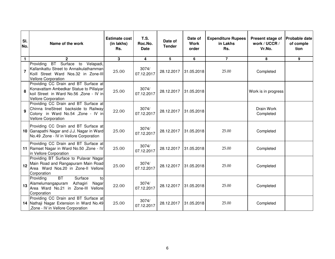| SI.<br>No.     | Name of the work                                                                                                                                         | <b>Estimate cost</b><br>(in lakhs)<br>Rs. | <b>T.S.</b><br>Roc.No.<br><b>Date</b> | Date of<br><b>Tender</b> | Date of<br><b>Work</b><br>order | <b>Expenditure Rupees</b><br>in Lakhs<br>Rs. | Present stage of<br>work / UCCR /<br>Vr.No. | <b>Probable date</b><br>of comple<br>tion |
|----------------|----------------------------------------------------------------------------------------------------------------------------------------------------------|-------------------------------------------|---------------------------------------|--------------------------|---------------------------------|----------------------------------------------|---------------------------------------------|-------------------------------------------|
| $\mathbf{1}$   | $\mathbf{2}$                                                                                                                                             | 3                                         | 4                                     | 5                        | 6                               | $\overline{7}$                               | 8                                           | 9                                         |
| $\overline{7}$ | BT Surface to Velapadi,<br>Providing<br>Kallanikattu Street to Annaikulathamman<br>Koill Street Ward Nos.32 in Zone-III<br><b>Vellore Corporation</b>    | 25.00                                     | 3074/<br>07.12.2017                   | 28.12.2017               | 31.05.2018                      | 25.00                                        | Completed                                   |                                           |
| 8              | Providing CC Drain and BT Surface at<br>Konavattam Ambedkar Statue to Pillaiyar<br>koil Street in Ward No.56, Zone - IV in<br><b>Vellore Corporation</b> | 25.00                                     | 3074/<br>07.12.2017                   | 28.12.2017               | 31.05.2018                      |                                              | Work is in progress                         |                                           |
| 9              | Providing CC Drain and BT Surface at<br>Chinna lineStreet backside to Railway<br>Colony in Ward No.54 , Zone - IV in<br><b>Vellore Corporation</b>       | 22.00                                     | 3074/<br>07.12.2017                   | 28.12.2017               | 31.05.2018                      |                                              | Drain Work<br>Completed                     |                                           |
|                | Providing CC Drain and BT Surface at<br>10 Ganapathi Nagar and J.J. Nagar in Ward<br>No.49, Zone - IV in Vellore Corporation                             | 25.00                                     | 3074/<br>07.12.2017                   | 28.12.2017               | 31.05.2018                      | 25.00                                        | Completed                                   |                                           |
|                | Providing CC Drain and BT Surface at<br>11   Ramset Nagar in Ward No.50, Zone - IV<br>in Vellore Corporation                                             | 25.00                                     | 3074/<br>07.12.2017                   | 28.12.2017               | 31.05.2018                      | 25.00                                        | Completed                                   |                                           |
| 12             | Providing BT Surface to Pulavar Nagar<br>Main Road and Rangapuram Main Road<br>Area Ward Nos.20 in Zone-II Vellore<br>Corporation                        | 25.00                                     | 3074/<br>07.12.2017                   | 28.12.2017               | 31.05.2018                      | 25.00                                        | Completed                                   |                                           |
| 13             | BT<br>Providing<br>Surface<br>tol<br>Alamelumangapuram<br>Azhagiri<br>Nagar<br>Area Ward No.21 in Zone-III Vellore<br>Corporation                        | 22.00                                     | 3074/<br>07.12.2017                   | 28.12.2017               | 31.05.2018                      | 25.00                                        | Completed                                   |                                           |
|                | Providing CC Drain and BT Surface at<br>14 Nathaji Nagar Extension in Ward No.49<br>,Zone - IV in Vellore Corporation                                    | 25.00                                     | 3074/<br>07.12.2017                   | 28.12.2017               | 31.05.2018                      | 25.00                                        | Completed                                   |                                           |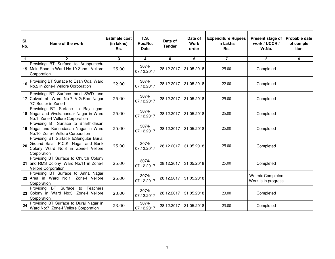| SI.<br>No. | Name of the work                                                                                                                   | <b>Estimate cost</b><br>(in lakhs)<br>Rs. | <b>T.S.</b><br>Roc.No.<br><b>Date</b> | Date of<br><b>Tender</b> | Date of<br><b>Work</b><br>order | <b>Expenditure Rupees</b><br>in Lakhs<br>Rs. | Present stage of<br>work / UCCR /<br>Vr.No.    | <b>Probable date</b><br>of comple<br>tion |
|------------|------------------------------------------------------------------------------------------------------------------------------------|-------------------------------------------|---------------------------------------|--------------------------|---------------------------------|----------------------------------------------|------------------------------------------------|-------------------------------------------|
| 1          | $\overline{2}$                                                                                                                     | 3                                         | 4                                     | 5                        | 6                               | $\overline{7}$                               | 8                                              | 9                                         |
|            | Providing BT Surface to Aruppumedu<br>15 Main Road in Ward No.10 Zone-I Vellore<br>Corporation                                     | 25.00                                     | 3074/<br>07.12.2017                   | 28.12.2017               | 31.05.2018                      | 25.00                                        | Completed                                      |                                           |
| 16         | Providing BT Surface to Esan Odai Ward<br>No.2 in Zone-I Vellore Corporation                                                       | 22.00                                     | 3074/<br>07.12.2017                   | 28.12.2017               | 31.05.2018                      | 22.00                                        | Completed                                      |                                           |
|            | Providing BT Surface amd SWD and<br>17 Culvert at Ward No-7 V.G. Rao Nagar<br>C` Sector in Zone-I                                  | 25.00                                     | 3074/<br>07.12.2017                   | 28.12.2017               | 31.05.2018                      | 25.00                                        | Completed                                      |                                           |
|            | Providing BT Surface to Rajalingam<br>18 Nagar and Vivekanandar Nagar in Ward<br>No:1 Zone-I Vellore Corporation                   | 25.00                                     | 3074/<br>07.12.2017                   | 28.12.2017               | 31.05.2018                      | 25.00                                        | Completed                                      |                                           |
|            | Providing BT Surface to Bharthidasan<br>19 Nagar and Kannadasan Nagar in Ward<br>No:10 Zone-I Vellore Corporation                  | 25.00                                     | 3074/<br>07.12.2017                   | 28.12.2017               | 31.05.2018                      | 25.00                                        | Completed                                      |                                           |
| 20         | Providing BT Surface toSengutai Burial<br>Ground Salai, P.C.K. Nagar and Bank<br>Colony Ward No.3 in Zone-I Vellore<br>Corporation | 25.00                                     | 3074/<br>07.12.2017                   | 28.12.2017               | 31.05.2018                      | 25.00                                        | Completed                                      |                                           |
|            | Providing BT Surface to Church Colony<br>21 and RMS Colony Ward No.11 in Zone-I<br><b>Vellore Corporation</b>                      | 25.00                                     | 3074/<br>07.12.2017                   | 28.12.2017               | 31.05.2018                      | 25.00                                        | Completed                                      |                                           |
|            | Providing BT Surface to Anna Nagar<br>22 Area in Ward No:1 Zone-I Vellore<br>Corporation                                           | 25.00                                     | 3074/<br>07.12.2017                   | 28.12.2017               | 31.05.2018                      |                                              | <b>Wetmix Completed</b><br>Work is in progress |                                           |
|            | Providing BT Surface<br>Teachers<br>to<br>23 Colony in Ward No:3 Zone-I Vellore<br>Corporation                                     | 23.00                                     | 3074/<br>07.12.2017                   | 28.12.2017               | 31.05.2018                      | 23.00                                        | Completed                                      |                                           |
| 24         | Providing BT Surface to Durai Nagar in<br>Ward No:7 Zone-I Vellore Corporation                                                     | 23.00                                     | 3074/<br>07.12.2017                   | 28.12.2017               | 31.05.2018                      | 23.00                                        | Completed                                      |                                           |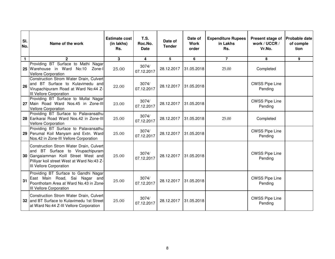| SI.<br>No.   | Name of the work                                                                                                                                                                                 | <b>Estimate cost</b><br>(in lakhs)<br>Rs. | <b>T.S.</b><br>Roc.No.<br><b>Date</b> | Date of<br><b>Tender</b> | Date of<br>Work<br>order | <b>Expenditure Rupees</b><br>in Lakhs<br>Rs. | Present stage of<br>work / UCCR /<br>Vr.No. | <b>Probable date</b><br>of comple<br>tion |
|--------------|--------------------------------------------------------------------------------------------------------------------------------------------------------------------------------------------------|-------------------------------------------|---------------------------------------|--------------------------|--------------------------|----------------------------------------------|---------------------------------------------|-------------------------------------------|
| $\mathbf{1}$ | $\mathbf{2}$                                                                                                                                                                                     | 3                                         | 4                                     | 5                        | 6                        | $\overline{7}$                               | 8                                           | 9                                         |
| 25           | Providing BT Surface to Mathi Nagar<br>Warehouse in Ward No:10<br>Zone-I<br><b>Vellore Corporation</b>                                                                                           | 25.00                                     | 3074/<br>07.12.2017                   | 28.12.2017               | 31.05.2018               | 25.00                                        | Completed                                   |                                           |
| 26           | Construction Strom Water Drain, Culvert<br>and BT Surface to Kulavimedu and<br>Virupachipuram Road at Ward No:44 Z-<br>III Vellore Corporation                                                   | 22.00                                     | 3074/<br>07.12.2017                   | 28.12.2017               | 31.05.2018               |                                              | <b>CWSS Pipe Line</b><br>Pending            |                                           |
|              | Providing BT Surface to Mullai Nagar<br>27 Main Road Ward Nos.45 in Zone-III<br><b>Vellore Corporation</b>                                                                                       | 23.00                                     | 3074/<br>07.12.2017                   | 28.12.2017               | 31.05.2018               |                                              | <b>CWSS Pipe Line</b><br>Pending            |                                           |
|              | Providing BT Surface to Palavansathu<br>28 Earikarai Road Ward Nos.42 in Zone-III<br><b>Vellore Corporation</b>                                                                                  | 25.00                                     | 3074/<br>07.12.2017                   | 28.12.2017               | 31.05.2018               | 25.00                                        | Completed                                   |                                           |
|              | Providing BT Surface to Palavansathu<br>29 Perumal Koil Manyam and Extn. Ward<br>Nos.42 in Zone-III Vellore Corporation                                                                          | 25.00                                     | 3074/<br>07.12.2017                   | 28.12.2017               | 31.05.2018               |                                              | <b>CWSS Pipe Line</b><br>Pending            |                                           |
| 30           | Construction Strom Water Drain, Culvert<br>and BT Surface to Virupachipuram<br>Gangaiamman Koill Street West and<br>Pilliyar koil street West at Ward No:43 Z-<br><b>III Vellore Corporation</b> | 25.00                                     | 3074/<br>07.12.2017                   | 28.12.2017               | 31.05.2018               |                                              | <b>CWSS Pipe Line</b><br>Pending            |                                           |
| 31           | Providing BT Surface to Gandhi Nagar<br>East Main Road, Sai Nagar and<br>Poonthotam Area at Ward No.43 in Zone-<br><b>III Vellore Corporation</b>                                                | 25.00                                     | 3074/<br>07.12.2017                   | 28.12.2017               | 31.05.2018               |                                              | <b>CWSS Pipe Line</b><br>Pending            |                                           |
|              | Construction Strom Water Drain, Culvert<br>32 and BT Surface to Kulavimedu 1st Street<br>at Ward No:44 Z-III Vellore Corporation                                                                 | 25.00                                     | 3074/<br>07.12.2017                   | 28.12.2017               | 31.05.2018               |                                              | <b>CWSS Pipe Line</b><br>Pending            |                                           |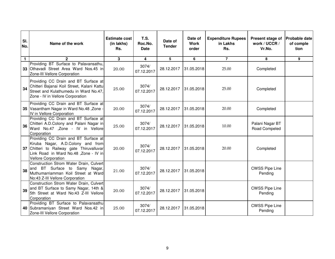| SI.<br>No.   | Name of the work                                                                                                                                                                              | <b>Estimate cost</b><br>(in lakhs)<br>Rs. | T.S.<br>Roc.No.<br><b>Date</b> | Date of<br><b>Tender</b> | Date of<br><b>Work</b><br>order | <b>Expenditure Rupees</b><br>in Lakhs<br>Rs. | Present stage of<br>work / UCCR /<br>Vr.No. | <b>Probable date</b><br>of comple<br>tion |
|--------------|-----------------------------------------------------------------------------------------------------------------------------------------------------------------------------------------------|-------------------------------------------|--------------------------------|--------------------------|---------------------------------|----------------------------------------------|---------------------------------------------|-------------------------------------------|
| $\mathbf{1}$ | $\overline{2}$                                                                                                                                                                                | 3                                         | 4                              | 5                        | 6                               | $\overline{7}$                               | 8                                           | 9                                         |
|              | Providing BT Surface to Palavansathu,<br>33 Othavadi Street Area Ward Nos.45 in<br>Zone-III Vellore Corporation                                                                               | 20.00                                     | 3074/<br>07.12.2017            | 28.12.2017               | 31.05.2018                      | 25.00                                        | Completed                                   |                                           |
| 34           | Providing CC Drain and BT Surface at<br>Chitteri Bajanai Koil Street, Kalani Kattu<br>Street and Kulathumedu in Ward No.47,<br>Zone - IV in Vellore Corporation                               | 25.00                                     | 3074/<br>07.12.2017            | 28.12.2017               | 31.05.2018                      | 25.00                                        | Completed                                   |                                           |
|              | Providing CC Drain and BT Surface at<br>35 Vasantham Nagar in Ward No.48, Zone<br>IV in Vellore Corporation                                                                                   | 20.00                                     | 3074/<br>07.12.2017            | 28.12.2017               | 31.05.2018                      | 20.00                                        | Completed                                   |                                           |
| 36           | Providing CC Drain and BT Surface at<br>Chitteri A.D.Colony and Palani Nagar in<br>Ward No.47 ,Zone - IV in Vellore<br>Corporation                                                            | 25.00                                     | 3074/<br>07.12.2017            | 28.12.2017               | 31.05.2018                      | 10.00                                        | Palani Nagar BT<br>Road Compeled            |                                           |
|              | Providing CC Drain and BT Surface at<br>Kiruba Nagar, A.D.Colony and from<br>37 Chitteri to Railway gate Thiruvalluvar<br>Link Road in Ward No.48, Zone - IV in<br><b>Vellore Corporation</b> | 20.00                                     | 3074/<br>07.12.2017            | 28.12.2017               | 31.05.2018                      | 20.00                                        | Completed                                   |                                           |
| 38           | Construction Strom Water Drain, Culvert<br>BT Surface to Samy Nagar,<br>and<br>Muthumarriamman Koil Street at Ward<br>No:43 Z-III Vellore Corporation                                         | 21.00                                     | 3074/<br>07.12.2017            | 28.12.2017               | 31.05.2018                      |                                              | <b>CWSS Pipe Line</b><br>Pending            |                                           |
| 39           | Construction Strom Water Drain, Culvert<br>and BT Surface to Samy Nagar, 14th &<br>5th Street at Ward No:43 Z-III Vellore<br>Corporation                                                      | 20.00                                     | 3074/<br>07.12.2017            | 28.12.2017               | 31.05.2018                      |                                              | <b>CWSS Pipe Line</b><br>Pending            |                                           |
|              | Providing BT Surface to Palavansathu<br>40 Subramaniyan Street Ward Nos.42 in<br>Zone-III Vellore Corporation                                                                                 | 25.00                                     | 3074/<br>07.12.2017            | 28.12.2017               | 31.05.2018                      |                                              | <b>CWSS Pipe Line</b><br>Pending            |                                           |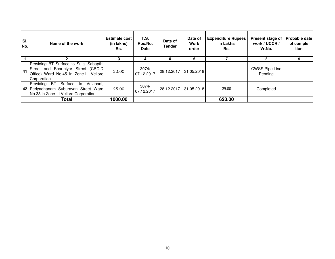| SI.<br>No. | Name of the work                                                                                                                       | <b>Estimate cost</b><br>(in lakhs)<br>Rs. | T.S.<br>Roc.No.<br><b>Date</b> | Date of<br><b>Tender</b> | Date of<br><b>Work</b><br>order | <b>Expenditure Rupees</b><br>in Lakhs<br>Rs. | Present stage of<br>work / UCCR /<br>Vr.No. | <b>Probable datel</b><br>of comple<br>tion |
|------------|----------------------------------------------------------------------------------------------------------------------------------------|-------------------------------------------|--------------------------------|--------------------------|---------------------------------|----------------------------------------------|---------------------------------------------|--------------------------------------------|
|            |                                                                                                                                        |                                           | 4                              |                          | 6                               |                                              | 8                                           |                                            |
| 41         | Providing BT Surface to Sulai Sabapthi<br>Street and Bharthiyar Street (CBCID<br>Office) Ward No.45 in Zone-III Vellore<br>Corporation | 22.00                                     | 3074/<br>07.12.2017            | 28.12.2017               | 31.05.2018                      |                                              | <b>CWSS Pipe Line</b><br>Pending            |                                            |
|            | Providing<br><b>BT</b><br>Surface<br>Velapadi,<br>to<br>42 Periyadhanam Suburayan Street Ward<br>No.38 in Zone-III Vellore Corporation | 25.00                                     | 3074/<br>07.12.2017            | 28.12.2017               | 31.05.2018                      | 25.00                                        | Completed                                   |                                            |
|            | Total                                                                                                                                  | 1000.00                                   |                                |                          |                                 | 623.00                                       |                                             |                                            |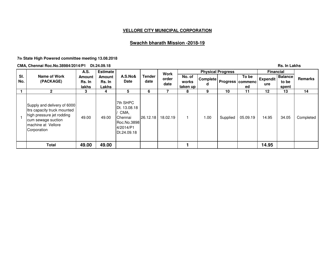## **Swachh bharath Mission -2018-19**

**7th State High Powered committee meeting 13.08.2018**

**CMA, Chennai Roc.No.38984/2014/P1 Dt.24.09.18**

|            | <b>CMA, Chennai Roc.No.38984/2014/P1</b>                                                                                                           |                  | Dt.24.09.18      |                                                                                        |                       |               |                 |                 |                          |                                    |                 | <b>Rs. In Lakhs</b>     |           |
|------------|----------------------------------------------------------------------------------------------------------------------------------------------------|------------------|------------------|----------------------------------------------------------------------------------------|-----------------------|---------------|-----------------|-----------------|--------------------------|------------------------------------|-----------------|-------------------------|-----------|
|            |                                                                                                                                                    | A.S.             | <b>Estimate</b>  |                                                                                        |                       | Work          |                 |                 | <b>Physical Progress</b> |                                    | Financial       |                         |           |
| SI.<br>No. | Name of Work<br>(PACKAGE)                                                                                                                          | Amount<br>Rs. In | Amount<br>Rs. In | A.S.No&<br>Date                                                                        | <b>Tender</b><br>date | order<br>date | No. of<br>works | <b>Complete</b> |                          | To be<br><b>Progress commencle</b> | <b>Expendit</b> | <b>Balance</b><br>to be | Remarks   |
|            |                                                                                                                                                    | lakhs            | Lakhs            |                                                                                        |                       |               | taken up        | d               |                          | ed                                 | ure             | spent                   |           |
|            | $\mathbf{2}$                                                                                                                                       | 3                | 4                | 5                                                                                      | 6                     |               | 8               | 9               | 10                       | 11                                 | 12              | 13                      | 14        |
|            | Supply and delivery of 6000<br>Itrs capacity truck mounted<br>high pressure jet rodding<br>cum sewage suction<br>machine at Vellore<br>Corporation | 49.00            | 49.00            | 7th SHPC<br>Dt. 13.08.18<br>CMA,<br>Chennai<br>Roc.No.3898<br>4/2014/P1<br>Dt.24.09.18 | 26.12.18              | 18.02.19      |                 | 1.00            | Supplied                 | 05.09.19                           | 14.95           | 34.05                   | Completed |
|            | Total                                                                                                                                              | 49.00            | 49.00            |                                                                                        |                       |               |                 |                 |                          |                                    | 14.95           |                         |           |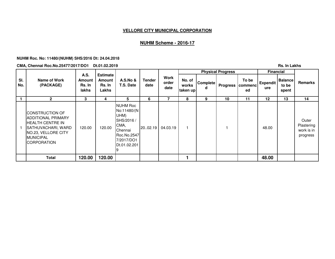## **NUHM Scheme - 2016-17**

#### **NUHM Roc. No: 11480/(NUHM) SHS/2016 Dt: 24.04.2018**

**CMA, Chennai Roc.No.25477/2017/DO1 Dt.01.02.2019**

|            | <b>CMA, Chennai Roc.No.25477/2017/DO1</b>                                                                                                                  |                                          | Dt.01.02.2019                                       |                                                                                                                       |                |                       |                              |                      |                          |                        |                        | <b>Rs. In Lakhs</b>              |                                               |
|------------|------------------------------------------------------------------------------------------------------------------------------------------------------------|------------------------------------------|-----------------------------------------------------|-----------------------------------------------------------------------------------------------------------------------|----------------|-----------------------|------------------------------|----------------------|--------------------------|------------------------|------------------------|----------------------------------|-----------------------------------------------|
|            |                                                                                                                                                            |                                          |                                                     |                                                                                                                       |                |                       |                              |                      | <b>Physical Progress</b> |                        | <b>Financial</b>       |                                  |                                               |
| SI.<br>No. | Name of Work<br>(PACKAGE)                                                                                                                                  | A.S.<br><b>Amount</b><br>Rs. In<br>lakhs | <b>Estimate</b><br><b>Amount</b><br>Rs. In<br>Lakhs | <b>A.S.No &amp;</b><br>T.S. Date                                                                                      | Tender<br>date | Work<br>order<br>date | No. of<br>works<br>taken upl | <b>Complete</b><br>d | <b>Progress</b>          | To be<br>commenc<br>ed | <b>Expendit</b><br>ure | <b>Balance</b><br>to be<br>spent | <b>Remarks</b>                                |
|            | $\mathbf{2}$                                                                                                                                               | 3                                        | 4                                                   | 5                                                                                                                     | 6              | 7                     | 8                            | 9                    | 10                       | 11                     | 12                     | 13                               | 14                                            |
|            | CONSTRUCTION OF<br><b>IADDITIONAL PRIMARY</b><br>IHEALTH CENTRE IN<br>SATHUVACHARI, WARD<br>NO.23, VELLORE CITY<br><b>MUNICIPAL</b><br><b>ICORPORATION</b> | 120.00                                   | 120.00                                              | <b>NUHM Roc</b><br>No:11480/(N)<br>UHM)<br>SHS/2016 /<br>CMA,<br>Chennai<br>Roc.No.2547<br>7/2017/DO1<br>Dt.01.02.201 | 20.02.19       | 04.03.19              |                              |                      |                          |                        | 48.00                  |                                  | Outer<br>Plastering<br>work is in<br>progress |
|            | <b>Total</b>                                                                                                                                               | 120.00                                   | 120.00                                              |                                                                                                                       |                |                       |                              |                      |                          |                        | 48.00                  |                                  |                                               |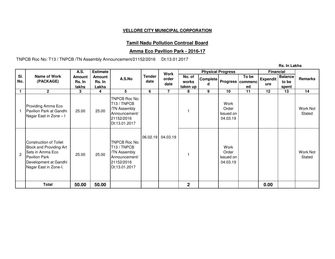## **Tamil Nadu Pollution Controal Board**

## **Amma Eco Pavllion Park - 2016-17**

TNPCB Roc No: T13 / TNPCB /TN Assembly Announcement/21152/2016 Dt:13.01.2017

**Rs. In Lakhs**

|              |                                                                                                                                                        | A.S.                             | <b>Estimate</b>           |                                                                                                          |                       | <b>Work</b>       |                             |   | <b>Physical Progress</b>               |                                                 | <b>Financial</b>       |                                  |                    |
|--------------|--------------------------------------------------------------------------------------------------------------------------------------------------------|----------------------------------|---------------------------|----------------------------------------------------------------------------------------------------------|-----------------------|-------------------|-----------------------------|---|----------------------------------------|-------------------------------------------------|------------------------|----------------------------------|--------------------|
| SI.<br>No.   | Name of Work<br>(PACKAGE)                                                                                                                              | <b>Amount</b><br>Rs. In<br>lakhs | Amount<br>Rs. In<br>Lakhs | A.S.No                                                                                                   | <b>Tender</b><br>date | order<br>date     | No. of<br>works<br>taken up |   |                                        | To be<br> Complete   Progress   commenc  <br>ed | <b>Expendit</b><br>ure | <b>Balance</b><br>to be<br>spent | <b>Remarks</b>     |
| $\mathbf{1}$ | $\mathbf{2}$                                                                                                                                           | 3                                | 4                         | 5                                                                                                        | 6                     | $\overline{7}$    | 8                           | 9 | 10                                     | 11                                              | 12                     | 13                               | 14                 |
|              | Providing Amma Eco<br>Pavilion Park at Gandhi<br>Nagar East in Zone - I                                                                                | 25.00                            | 25.00                     | TNPCB Roc No:<br>T <sub>13</sub> / TNPCB<br>/TN Assembly<br>Announcement/<br>21152/2016<br>Dt:13.01.2017 |                       |                   |                             |   | Work<br>Order<br>Issued on<br>04.03.19 |                                                 |                        |                                  | Work Not<br>Stated |
| $\mathbf{2}$ | <b>Construction of Toilet</b><br>Block and Providing Art<br>Sets in Amma Eco<br><b>Pavilion Park</b><br>Development at Gandhi<br>Nagar East in Zone-I. | 25.00                            | 25.00                     | TNPCB Roc No:<br>T <sub>13</sub> / TNPCB<br>/TN Assembly<br>Announcement/<br>21152/2016<br>Dt:13.01.2017 |                       | 06.02.19 04.03.19 |                             |   | Work<br>Order<br>Issued on<br>04.03.19 |                                                 |                        |                                  | Work Not<br>Stated |
|              | <b>Total</b>                                                                                                                                           | 50.00                            | 50.00                     |                                                                                                          |                       |                   | $\overline{2}$              |   |                                        |                                                 | 0.00                   |                                  |                    |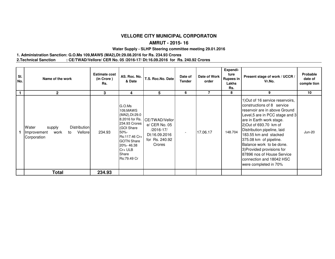#### **AMRUT - 2015- 16**

#### **Water Supply - SLHP Steering committee meeting 29.01.2016**

#### **1. Administration Sanction: G.O.Ms 109,MAWS (MA2),Dt:29.08.2016 for Rs. 234.93 Crores2.Technical Sanction : CE/TWAD/Vellore/ CER No. 05 /2016-17/ Dt:16.09.2016 for Rs. 240.92 Crores**

| SI.<br>No.   | Name of the work                                                                              | <b>Estimate cost</b><br>(in Crore)<br>Rs. | AS. Roc. No.<br>& Date                                                                                                                                                                   | T.S. Roc.No. Date                                                                         | Date of<br><b>Tender</b> | Date of Work<br>order | Expendi-<br>ture<br><b>Rupees in</b><br>Lakhs<br>Rs. | Present stage of work / UCCR /<br>Vr.No.                                                                                                                                                                                                                                                                                                                                                                               | Probable<br>date of<br>comple tion |
|--------------|-----------------------------------------------------------------------------------------------|-------------------------------------------|------------------------------------------------------------------------------------------------------------------------------------------------------------------------------------------|-------------------------------------------------------------------------------------------|--------------------------|-----------------------|------------------------------------------------------|------------------------------------------------------------------------------------------------------------------------------------------------------------------------------------------------------------------------------------------------------------------------------------------------------------------------------------------------------------------------------------------------------------------------|------------------------------------|
| $\mathbf{1}$ | $\mathbf{2}$                                                                                  | 3                                         | 4                                                                                                                                                                                        | 5                                                                                         | 6                        | 7                     | 8                                                    | 9                                                                                                                                                                                                                                                                                                                                                                                                                      | 10                                 |
|              | <b>Distribution</b><br>Water<br>supply<br>Vellore<br>work<br>Improvement<br>to<br>Corporation | 234.93                                    | G.O.Ms<br>109, MAWS<br>(MA2), Dt:29.0<br>8.2016 for Rs.<br>234.93 Crores<br>(GOI Share<br>$50% -$<br>Rs:117.46 Cr+<br><b>GOTN Share</b><br>20%-46.38<br>$Cr+ULB$<br>Share<br>Rs:79.49 Cr | CE/TWAD/Vellor<br>e/ CER No. 05<br>/2016-17/<br>Dt:16.09.2016<br>for Rs. 240.92<br>Crores | $\overline{\phantom{a}}$ | 17.06.17              | 148.704                                              | 1) Out of 16 service reservoirs,<br>constructions of 8 service<br>reservoir are in above Ground<br>Level,5 are in PCC stage and 3<br>are in Earth work stage.<br>2) Out of 693.70 km of<br>Distribution pipeline, laid<br>183.55 km and stacked<br>375.08 km of pipeline.<br>Balance work to be done.<br>3) Provided provisions for<br>87896 nos of House Service<br>connection and 18042 HSC<br>were completed in 70% | <b>Jun-20</b>                      |
|              | <b>Total</b>                                                                                  | 234.93                                    |                                                                                                                                                                                          |                                                                                           |                          |                       |                                                      |                                                                                                                                                                                                                                                                                                                                                                                                                        |                                    |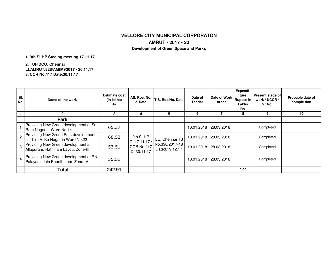## **VELLORE CITY MUNICIPAL CORPORATONAMRUT - 2017 - 20**

**Development of Green Space and Parks**

**1. 9th SLHP Steeing meeting 17.11.17**

**2. TUFIDCO, Chennai Lt.AMRUT/828/AM(M)/2017 - 20.11.173. CCR No.417 Date.30.11.17**

| SI.<br>No.   | Name of the work                                                           | <b>Estimate cost</b><br>(in lakhs)<br>Rs. | & Date                  | AS. Roc. No.   T.S. Roc. No. Date ' | Date of<br><b>Tender</b>         | Date of Work<br>order | Expendi-<br>ture<br>Rupees in<br>Lakhs<br>Rs. | <b>Present stage of</b><br>work / UCCR /<br>Vr.No. | Probable date of<br>comple tion |           |  |
|--------------|----------------------------------------------------------------------------|-------------------------------------------|-------------------------|-------------------------------------|----------------------------------|-----------------------|-----------------------------------------------|----------------------------------------------------|---------------------------------|-----------|--|
|              |                                                                            | 3                                         | 4                       | 5                                   | 6                                |                       | 8                                             | 9                                                  | 10                              |           |  |
|              | <b>Park</b>                                                                |                                           |                         |                                     |                                  |                       |                                               |                                                    |                                 |           |  |
|              | Providing New Green development at Sri<br>Ram Nagar in Ward No:14          | 65.37                                     |                         |                                     | 10.01.2018 28.03.2018            |                       |                                               | Completed                                          |                                 |           |  |
| $\mathbf{z}$ | Providing New Green Park development<br>at Thiru Vi Ka Nagar in Ward No:22 | 68.52                                     | 9th SLHP<br>Dt.17.11.17 | CCR No.417<br>Dt.30.11.17           |                                  | CE, Chennai TS        | 10.01.2018                                    | 28.03.2018                                         |                                 | Completed |  |
| 3            | Providing New Green development at<br>Allapuram, Rathinam Layout Zone-III  | 53.51                                     |                         |                                     | No.396/2017-18<br>Dated.19.12.17 | 10.01.2018 28.03.2018 |                                               |                                                    | Completed                       |           |  |
| 4            | Providing New Green development at RN<br>Palayam, Jain Poonthotam Zone-IV  | 55.51                                     |                         |                                     | 10.01.2018                       | 28.03.2018            |                                               | Completed                                          |                                 |           |  |
|              | <b>Total</b>                                                               | 242.91                                    |                         |                                     |                                  |                       | 0.00                                          |                                                    |                                 |           |  |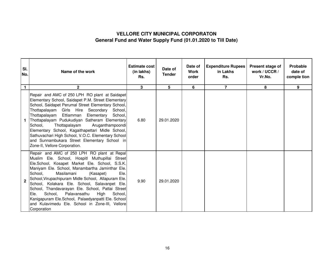# **VELLORE CITY MUNICIPAL CORPORATONGeneral Fund and Water Supply Fund (01.01.2020 to Till Date)**

| SI.<br>No.     | Name of the work                                                                                                                                                                                                                                                                                                                                                                                                                                                                                                                                                                           | Estimate cost<br>(in lakhs)<br>Rs. | Date of<br><b>Tender</b> | Date of<br><b>Work</b><br>order | <b>Expenditure Rupees</b><br>in Lakhs<br>Rs. | Present stage of<br>work / UCCR /<br>Vr.No. | Probable<br>date of<br>comple tion |
|----------------|--------------------------------------------------------------------------------------------------------------------------------------------------------------------------------------------------------------------------------------------------------------------------------------------------------------------------------------------------------------------------------------------------------------------------------------------------------------------------------------------------------------------------------------------------------------------------------------------|------------------------------------|--------------------------|---------------------------------|----------------------------------------------|---------------------------------------------|------------------------------------|
| $\mathbf{1}$   | $\mathbf{2}$                                                                                                                                                                                                                                                                                                                                                                                                                                                                                                                                                                               | 3                                  | 5                        | 6                               | $\overline{7}$                               | 8                                           | 9                                  |
|                | Repair and AMC of 250 LPH RO plant at Saidapet<br>Elementary School, Saidapet P.M. Street Elementary<br>School, Saidapet Perumal Street Elementary School,<br>Thottapalayam Girls Hire Secondary<br>School.<br>Thottapalayam Ettiamman<br>Elementary<br>School,<br>Thottapalayam Pudukudiyan Satheram Elementary<br>School,<br>Thottapalayam<br>Aruganthampoondi<br>Elementary School, Kagaithapettari Midle School,<br>Sathuvachari High School, V.O.C. Elementary School<br>and Sunnambukara Street Elementary School in<br>Zone-II, Vellore Corporation.                                | 6.80                               | 29.01.2020               |                                 |                                              |                                             |                                    |
| $\overline{2}$ | Repair and AMC of 250 LPH RO plant at Repal<br>Muslim Ele. School, Hospitl Muthupillai Street<br>Ele.School, Kosapet Market Ele. School, S.S.K.<br>Maniyam Ele. School, Manambartha Jaminthar Ele.<br>School,<br>Masilamani<br>(Kasapet)<br>Ele.<br>School, Virupachipuram Midle School, Allapuram Ele.<br>School, Kolakara Ele. School, Salavanpet Ele.<br>School, Thandavarayan Ele. School, Pattai Street<br>Palavansathu<br>School,<br>High<br>School.<br>Ele.<br>Kanigapuram Ele.School, Palaedyanpatti Ele. School<br>and Kulavimedu Ele. School in Zone-III, Vellore<br>Corporation | 9.90                               | 29.01.2020               |                                 |                                              |                                             |                                    |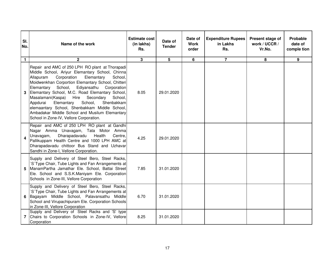| SI.<br>No.   | Name of the work                                                                                                                                                                                                                                                                                                                                                                                                                                                                                                                                                              | <b>Estimate cost</b><br>(in lakhs)<br>Rs. | Date of<br><b>Tender</b> | Date of<br><b>Work</b><br>order | <b>Expenditure Rupees</b><br>in Lakhs<br>Rs. | Present stage of<br>work / UCCR /<br>Vr.No. | Probable<br>date of<br>comple tion |
|--------------|-------------------------------------------------------------------------------------------------------------------------------------------------------------------------------------------------------------------------------------------------------------------------------------------------------------------------------------------------------------------------------------------------------------------------------------------------------------------------------------------------------------------------------------------------------------------------------|-------------------------------------------|--------------------------|---------------------------------|----------------------------------------------|---------------------------------------------|------------------------------------|
| $\mathbf{1}$ | $\mathbf{2}$                                                                                                                                                                                                                                                                                                                                                                                                                                                                                                                                                                  | $\overline{\mathbf{3}}$                   | 5                        | 6                               | $\overline{7}$                               | 8                                           | $\overline{9}$                     |
| 3            | Repair and AMC of 250 LPH RO plant at Thorapadi<br>Middle School, Ariyur Elemantary School, Chinna<br>Allapuram<br>Corporation<br>Elemantary<br>School,<br>Moidwenkhan Corportion Elemantary School, Chitteri<br>School,<br>Ediyansathu<br>Elemantary<br>Corporation<br>Elemantary School, M.C. Road Elemantary School,<br>Masalamani(Kaspa)<br>Hire<br>Secondary<br>School,<br>Appdurai<br>Elemantary<br>School,<br>Shenbakkam<br>elemaantary School, Shenbakkam Middle School,<br>Ambadakar Middle School and Musilum Elemantary<br>School in Zone-IV, Vellore Corporation. | 8.05                                      | 29.01.2020               |                                 |                                              |                                             |                                    |
| 4            | Repair and AMC of 250 LPH RO plant at Gandhi<br>Nagar Amma Unavagam, Tata Motor Amma<br>Dharapadavadu<br>Health<br>Centre.<br>Unavagam,<br>Pallikuppam Health Centre and 1000 LPH AMC at<br>Dharapadavadu chittoor Bus Stand and Uzhavar<br>Sandhi in Zone-I, Vellore Corporation.                                                                                                                                                                                                                                                                                            | 4.25                                      | 29.01.2020               |                                 |                                              |                                             |                                    |
| 5            | Supply and Delivery of Steel Bero, Steel Racks,<br>S'Type Chair, Tube Lights and Fan Arrangements at<br>ManamPartha Jamathar Ele. School, Battai Street<br>Ele. School and S.S.K.Maniyam Ele. Corporation<br>Schools in Zone-III, Vellore Corporation                                                                                                                                                                                                                                                                                                                         | 7.85                                      | 31.01.2020               |                                 |                                              |                                             |                                    |
| 6.           | Supply and Delivery of Steel Bero, Steel Racks,<br>'S'Type Chair, Tube Lights and Fan Arrangements at<br>Bagayam Middle School, Palavansathu Middle<br>School and Virupachipuram Ele. Corporation Schools<br>in Zone-III, Vellore Corporation                                                                                                                                                                                                                                                                                                                                 | 6.70                                      | 31.01.2020               |                                 |                                              |                                             |                                    |
| 7            | Supply and Delivery of Steel Racks and 'S' type<br>Chairs to Corporation Schools in Zone-IV, Vellore<br>Corporation                                                                                                                                                                                                                                                                                                                                                                                                                                                           | 8.25                                      | 31.01.2020               |                                 |                                              |                                             |                                    |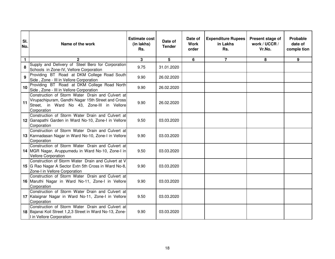| SI.<br>No.   | Name of the work                                                                                                                                                    | <b>Estimate cost</b><br>(in lakhs)<br>Rs. | Date of<br><b>Tender</b> | Date of<br><b>Work</b><br>order | <b>Expenditure Rupees</b><br>in Lakhs<br>Rs. | Present stage of<br>work / UCCR /<br>Vr.No. | Probable<br>date of<br>comple tion |
|--------------|---------------------------------------------------------------------------------------------------------------------------------------------------------------------|-------------------------------------------|--------------------------|---------------------------------|----------------------------------------------|---------------------------------------------|------------------------------------|
| $\mathbf{1}$ | $\overline{2}$                                                                                                                                                      | 3 <sup>1</sup>                            | 5                        | 6                               | $\overline{7}$                               | 8                                           | 9                                  |
| 8            | Supply and Delivery of Steel Bero for Corporation<br>Schools in Zone-IV, Vellore Corporation                                                                        | 9.75                                      | 31.01.2020               |                                 |                                              |                                             |                                    |
| 9            | Providing BT Road at DKM College Road South<br>Side, Zone - III in Vellore Corporation                                                                              | 9.90                                      | 26.02.2020               |                                 |                                              |                                             |                                    |
| 10           | Providing BT Road at DKM College Road North<br>Side, Zone - III in Vellore Corporation                                                                              | 9.90                                      | 26.02.2020               |                                 |                                              |                                             |                                    |
| 11           | Construction of Storm Water Drain and Culvert at<br>Virupachipuram, Gandhi Nagar 15th Street and Cross<br>Street, in Ward No 43, Zone-III in Vellore<br>Corporation | 9.90                                      | 26.02.2020               |                                 |                                              |                                             |                                    |
|              | Construction of Storm Water Drain and Culvert at<br>12 Ganapathi Garden in Ward No-10, Zone-I in Vellore<br>Corporation                                             | 9.50                                      | 03.03.2020               |                                 |                                              |                                             |                                    |
|              | Construction of Storm Water Drain and Culvert at<br>13 Kannadasan Nagar in Ward No-10, Zone-I in Vellore<br>Corporation                                             | 9.90                                      | 03.03.2020               |                                 |                                              |                                             |                                    |
|              | Construction of Storm Water Drain and Culvert at<br>14 MGR Nagar, Aruppumedu in Ward No-10, Zone-I in<br><b>Vellore Corporation</b>                                 | 9.50                                      | 03.03.2020               |                                 |                                              |                                             |                                    |
|              | Construction of Storm Water Drain and Culvert at V<br>15 G Rao Nagar A Sector Extn 5th Cross in Ward No-8,<br>Zone-I in Vellore Corporation                         | 9.90                                      | 03.03.2020               |                                 |                                              |                                             |                                    |
|              | Construction of Storm Water Drain and Culvert at<br>16 Maruthi Nagar in Ward No-11, Zone-I in Vellore<br>Corporation                                                | 9.90                                      | 03.03.2020               |                                 |                                              |                                             |                                    |
|              | Construction of Storm Water Drain and Culvert at<br>17 Kalaignar Nagar in Ward No-11, Zone-I in Vellore<br>Corporation                                              | 9.50                                      | 03.03.2020               |                                 |                                              |                                             |                                    |
|              | Construction of Storm Water Drain and Culvert at<br>18 Bajanai Koil Street 1,2,3 Street in Ward No-13, Zone-<br>I in Vellore Corporation                            | 9.90                                      | 03.03.2020               |                                 |                                              |                                             |                                    |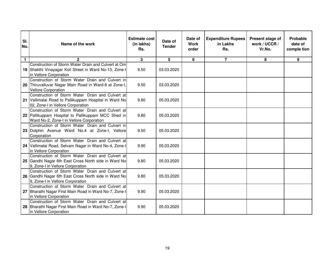| SI.<br>No.   | Name of the work                                                                                                                                   | <b>Estimate cost</b><br>(in lakhs)<br>Rs. | Date of<br><b>Tender</b> | Date of<br><b>Work</b><br>order | <b>Expenditure Rupees</b><br>in Lakhs<br>Rs. | Present stage of<br>work / UCCR /<br>Vr.No. | Probable<br>date of<br>comple tion |
|--------------|----------------------------------------------------------------------------------------------------------------------------------------------------|-------------------------------------------|--------------------------|---------------------------------|----------------------------------------------|---------------------------------------------|------------------------------------|
| $\mathbf{1}$ | $\mathbf{2}$                                                                                                                                       | $\mathbf{3}$                              | 5                        | 6                               | $\overline{7}$                               | 8                                           | 9                                  |
|              | Construction of Storm Water Drain and Culvert at Om<br>19 Shakthi Vinayagar Koil Street in Ward No-13, Zone-I<br>in Vellore Corporation            | 9.50                                      | 03.03.2020               |                                 |                                              |                                             |                                    |
|              | Construction of Storm Water Drain and Culvert in<br>20 Thiruvalluvar Nagar Main Road in Ward-8 at Zone-I,<br><b>Vellore Corporation</b>            | 9.50                                      | 03.03.2020               |                                 |                                              |                                             |                                    |
|              | Construction of Storm Water Drain and Culvert at<br>21 Vallimalai Road to Pallikuppam Hospital in Ward No<br>02, Zone-I in Vellore Corporation     | 9.80                                      | 05.03.2020               |                                 |                                              |                                             |                                    |
|              | Construction of Storm Water Drain and Culvert at<br>22 Pallikuppam Hospital to Pallikuppam MCC Shed in<br>Ward No-2, Zone-I in Vellore Corporation | 9.80                                      | 05.03.2020               |                                 |                                              |                                             |                                    |
|              | Construction of Storm Water Drain and Culvert in<br>23 Dolphin Avenue Ward No.4 at Zone-I, Vellore<br>Corporation                                  | 9.50                                      | 05.03.2020               |                                 |                                              |                                             |                                    |
|              | Construction of Storm Water Drain and Culvert at<br>24 Vallimalai Road, Selvam Nagar in Ward No-4, Zone-I<br>in Vellore Corporation                | 9.90                                      | 05.03.2020               |                                 |                                              |                                             |                                    |
|              | Construction of Storm Water Drain and Culvert at<br>25 Gandhi Nagar 6th East Cross North side in Ward No<br>9, Zone-I in Vellore Corporation       | 9.80                                      | 05.03.2020               |                                 |                                              |                                             |                                    |
|              | Construction of Storm Water Drain and Culvert at<br>26 Gandhi Nagar 6th East Cross North side in Ward No<br>9, Zone-I in Vellore Corporation       | 9.80                                      | 05.03.2020               |                                 |                                              |                                             |                                    |
|              | Construction of Storm Water Drain and Culvert at<br>27 Bharathi Nagar First Main Road in Ward No-7, Zone-I<br>in Vellore Corporation               | 9.90                                      | 05.03.2020               |                                 |                                              |                                             |                                    |
|              | Construction of Storm Water Drain and Culvert at<br>28 Bharathi Nagar First Main Road in Ward No-7, Zone-I<br>in Vellore Corporation               | 9.90                                      | 05.03.2020               |                                 |                                              |                                             |                                    |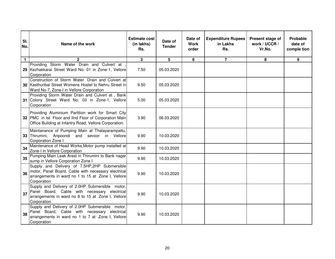| SI.<br>No.   | Name of the work                                                                                                                                                         | <b>Estimate cost</b><br>(in lakhs)<br>Rs. | Date of<br><b>Tender</b> | Date of<br><b>Work</b><br>order | <b>Expenditure Rupees</b><br>in Lakhs<br>Rs. | Present stage of<br>work / UCCR /<br>Vr.No. | Probable<br>date of<br>comple tion |
|--------------|--------------------------------------------------------------------------------------------------------------------------------------------------------------------------|-------------------------------------------|--------------------------|---------------------------------|----------------------------------------------|---------------------------------------------|------------------------------------|
| $\mathbf{1}$ | $\mathbf{2}$                                                                                                                                                             | 3                                         | 5                        | 6                               | $\overline{7}$                               | 8                                           | 9                                  |
|              | Providing Storm Water Drain and Culvert at,<br>29 Kezhakkarai Street Ward No: 01 in Zone-1, Vellore<br>Corporation                                                       | 7.50                                      | 05.03.2020               |                                 |                                              |                                             |                                    |
|              | Construction of Storm Water Drain and Culvert at<br>30 Kasthuribai Street Womens Hostel to Nehru Street in<br>Ward No-7, Zone-I in Vellore Corporation                   | 9.50                                      | 05.03.2020               |                                 |                                              |                                             |                                    |
|              | Providing Storm Water Drain and Culvert at, Bank<br>31 Colony Street Ward No: 03 in Zone-1, Vellore<br>Corporation                                                       | 5.00                                      | 05.03.2020               |                                 |                                              |                                             |                                    |
|              | Providing Aluminium Partition work for Smart City<br>32 PMC in lst Floor and IInd Floor of Corporation Main<br>Office Building at Infantry Road, Vellore Corporation.    | 3.90                                      | 06.03.2020               |                                 |                                              |                                             |                                    |
|              | Maintanance of Pumping Main at Thalayarampattu,<br>33 Thirumini, Anpoondi and sevoor in Vellore<br>Corporation Zone I                                                    | 9.90                                      | 10.03.2020               |                                 |                                              |                                             |                                    |
| 34           | Maintenance of Head Works, Motor pump installed at<br>Zone-I in Vellore Corporation                                                                                      | 9.90                                      | 10.03.2020               |                                 |                                              |                                             |                                    |
| 35           | Pumping Main Leak Arest in Thirumini to Bank nagar<br>sump in Vellore Corporation Zone I                                                                                 | 9.90                                      | 10.03.2020               |                                 |                                              |                                             |                                    |
| 36           | Supply and Delivery of 7.5HP,2HP Submersible<br>motor, Panel Board, Cable with necessary electrical<br>arrangements in ward no 1 to 15 at Zone I, Vellore<br>Corporation | 9.90                                      | 10.03.2020               |                                 |                                              |                                             |                                    |
| 37           | Supply and Delivery of 2.0HP Submersible motor,<br>Panel Board, Cable with necessary electrical<br>arrangements in ward no 8 to 15 at Zone I, Vellore<br>Corporation     | 9.90                                      | 10.03.2020               |                                 |                                              |                                             |                                    |
| 38           | Supply and Delivery of 2.0HP Submersible motor,<br>Panel Board, Cable with necessary electrical<br>arrangements in ward no 1 to 7 at Zone I, Vellore<br>Corporation      | 9.90                                      | 10.03.2020               |                                 |                                              |                                             |                                    |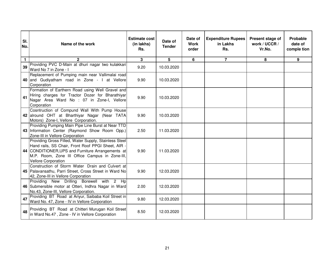| SI.<br>No.   | Name of the work                                                                                                                                                                                                                                 | <b>Estimate cost</b><br>(in lakhs)<br>Rs. | Date of<br><b>Tender</b> | Date of<br><b>Work</b><br>order | <b>Expenditure Rupees</b><br>in Lakhs<br>Rs. | Present stage of<br>work / UCCR /<br>Vr.No. | Probable<br>date of<br>comple tion |
|--------------|--------------------------------------------------------------------------------------------------------------------------------------------------------------------------------------------------------------------------------------------------|-------------------------------------------|--------------------------|---------------------------------|----------------------------------------------|---------------------------------------------|------------------------------------|
| $\mathbf{1}$ | $\overline{2}$                                                                                                                                                                                                                                   | $\overline{3}$                            | 5                        | $6\phantom{a}$                  | $\overline{7}$                               | 8                                           | 9                                  |
| 39           | Providing PVC D-Main at dhuri nagar two kulakkari<br>Ward No 7 in Zone - I                                                                                                                                                                       | 9.20                                      | 10.03.2020               |                                 |                                              |                                             |                                    |
|              | Replacement of Pumping main near Vallimalai road<br>40 and Gudiyatham road in Zone - I at Vellore<br>Corporation                                                                                                                                 | 9.90                                      | 10.03.2020               |                                 |                                              |                                             |                                    |
| 41           | Formation of Earthern Road using Well Gravel and<br>Hiring charges for Tractor Dozer for Bharathiyar<br>Nagar Area Ward No : 07 in Zone-I, Vellore<br>Corporation                                                                                | 9.90                                      | 10.03.2020               |                                 |                                              |                                             |                                    |
|              | Cosntruction of Compund Wall With Pump House<br>42 alround OHT at Bharthiyar Nagar (Near TATA<br>Motors) Zone-I, Vellore Corporation.                                                                                                            | 9.90                                      | 10.03.2020               |                                 |                                              |                                             |                                    |
|              | Providing Pumping Main Pipe Line Burst at Near TTD<br>43 Information Center (Raymond Show Room Opp.)<br>Zone-III in Vellore Corporation                                                                                                          | 2.50                                      | 11.03.2020               |                                 |                                              |                                             |                                    |
|              | Providing Gross Filled, Water Supply, Stainless Steel<br>Hand rails, SS Chair, Front Roof PPGI Sheet, AIR -<br>44 CONDITIONER, UPS and Furniture Arrangements at<br>M.P. Room, Zone III Office Campus in Zone-III,<br><b>Vellore Corporation</b> | 9.90                                      | 11.03.2020               |                                 |                                              |                                             |                                    |
|              | Construction of Storm Water Drain and Culvert at<br>45 Palavansathu, Parri Street, Cross Street in Ward No<br>42, Zone-III in Vellore Corporation                                                                                                | 9.90                                      | 12.03.2020               |                                 |                                              |                                             |                                    |
|              | Providing New Drilling Borewell with 2 Hp<br>46 Submersible motor at Otteri, Indhra Nagar in Ward<br>No.43, Zone-III, Vellore Corporation.                                                                                                       | 2.00                                      | 12.03.2020               |                                 |                                              |                                             |                                    |
| 47           | Providing BT Road at Ariyur, Saibaba Koil Street in<br>Ward No. 47, Zone - IV in Vellore Corporation                                                                                                                                             | 9.80                                      | 12.03.2020               |                                 |                                              |                                             |                                    |
| 48           | Providing BT Road at Chitteri Murugan Koil Street<br>in Ward No.47, Zone - IV in Vellore Corporation                                                                                                                                             | 8.50                                      | 12.03.2020               |                                 |                                              |                                             |                                    |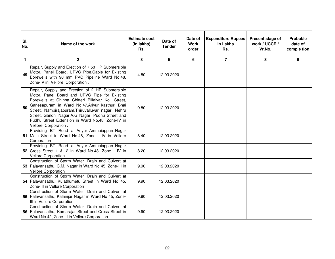| SI.<br>No.   | Name of the work                                                                                                                                                                                                                                                                                                                                                                                  | <b>Estimate cost</b><br>(in lakhs)<br>Rs. | Date of<br><b>Tender</b> | Date of<br><b>Work</b><br>order | <b>Expenditure Rupees</b><br>in Lakhs<br>Rs. | Present stage of<br>work / UCCR /<br>Vr.No. | Probable<br>date of<br>comple tion |
|--------------|---------------------------------------------------------------------------------------------------------------------------------------------------------------------------------------------------------------------------------------------------------------------------------------------------------------------------------------------------------------------------------------------------|-------------------------------------------|--------------------------|---------------------------------|----------------------------------------------|---------------------------------------------|------------------------------------|
| $\mathbf{1}$ | $\mathbf{2}$                                                                                                                                                                                                                                                                                                                                                                                      | $\mathbf{3}$                              | 5                        | 6                               | $\overline{7}$                               | 8                                           | 9                                  |
| 49           | Repair, Supply and Erection of 7.50 HP Submersible<br>Motor, Panel Board, UPVC Pipe, Cable for Existing<br>Borewells with 90 mm PVC Pipeline Ward No.48,<br>Zone-IV in Vellore Corporation.                                                                                                                                                                                                       | 4.80                                      | 12.03.2020               |                                 |                                              |                                             |                                    |
| 50           | Repair, Supply and Erection of 2 HP Submersible<br>Motor, Panel Board and UPVC Pipe for Existing<br>Borewells at Chinna Chitteri Pillaiyar Koil Street,<br>Ganesapuram in Ward No.47, Ariyur kasthuri Bhai<br>Street, Nambirajapuram, Thiruvalluvar nagar, Nehru<br>Street, Gandhi Nagar, A.G Nagar, Pudhu Street and<br>Pudhu Street Extension in Ward No.48, Zone-IV in<br>Vellore Corporation. | 9.80                                      | 12.03.2020               |                                 |                                              |                                             |                                    |
|              | Providing BT Road at Ariyur Ammaiappan Nagar<br>51 Main Street in Ward No.48, Zone - IV in Vellore<br>Corporation                                                                                                                                                                                                                                                                                 | 8.40                                      | 12.03.2020               |                                 |                                              |                                             |                                    |
|              | Providing BT Road at Ariyur Ammaiappan Nagar<br>52 Cross Street 1 & 2 in Ward No.48, Zone - IV in<br><b>Vellore Corporation</b>                                                                                                                                                                                                                                                                   | 8.20                                      | 12.03.2020               |                                 |                                              |                                             |                                    |
|              | Construction of Storm Water Drain and Culvert at<br>53 Palavansathu, C.M. Nagar in Ward No 45, Zone-III in<br><b>Vellore Corporation</b>                                                                                                                                                                                                                                                          | 9.90                                      | 12.03.2020               |                                 |                                              |                                             |                                    |
|              | Construction of Storm Water Drain and Culvert at<br>54 Palavansathu, Kulathumetu Street in Ward No 45,<br>Zone-III in Vellore Corporation                                                                                                                                                                                                                                                         | 9.90                                      | 12.03.2020               |                                 |                                              |                                             |                                    |
|              | Construction of Storm Water Drain and Culvert at<br>55 Palavansathu, Kalainjar Nagar in Ward No 45, Zone-<br>III in Vellore Corporation                                                                                                                                                                                                                                                           | 9.90                                      | 12.03.2020               |                                 |                                              |                                             |                                    |
|              | Construction of Storm Water Drain and Culvert at<br>56 Palavansathu, Kamarajar Street and Cross Street in<br>Ward No 42, Zone-III in Vellore Corporation                                                                                                                                                                                                                                          | 9.90                                      | 12.03.2020               |                                 |                                              |                                             |                                    |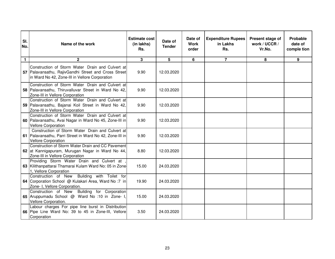| SI.<br>No.   | Name of the work                                                                                                                                           | <b>Estimate cost</b><br>(in lakhs)<br>Rs. | Date of<br><b>Tender</b> | Date of<br><b>Work</b><br>order | <b>Expenditure Rupees</b><br>in Lakhs<br>Rs. | Present stage of<br>work / UCCR /<br>Vr.No. | Probable<br>date of<br>comple tion |
|--------------|------------------------------------------------------------------------------------------------------------------------------------------------------------|-------------------------------------------|--------------------------|---------------------------------|----------------------------------------------|---------------------------------------------|------------------------------------|
| $\mathbf{1}$ | $\mathbf{2}$                                                                                                                                               | $\mathbf{3}$                              | 5                        | 6                               | $\overline{7}$                               | 8                                           | 9                                  |
|              | Construction of Storm Water Drain and Culvert at<br>57 Palavansathu, RajivGandhi Street and Cross Street<br>in Ward No 42, Zone-III in Vellore Corporation | 9.90                                      | 12.03.2020               |                                 |                                              |                                             |                                    |
|              | Construction of Storm Water Drain and Culvert at<br>58 Palavansathu, Thiruvalluvar Street in Ward No 42,<br>Zone-III in Vellore Corporation                | 9.90                                      | 12.03.2020               |                                 |                                              |                                             |                                    |
|              | Construction of Storm Water Drain and Culvert at<br>59 Palavansathu, Bajanai Koil Street in Ward No 42,<br>Zone-III in Vellore Corporation                 | 9.90                                      | 12.03.2020               |                                 |                                              |                                             |                                    |
|              | Construction of Storm Water Drain and Culvert at<br>60 Palavansathu, Avai Nagar in Ward No 45, Zone-III in<br><b>Vellore Corporation</b>                   | 9.90                                      | 12.03.2020               |                                 |                                              |                                             |                                    |
|              | Construction of Storm Water Drain and Culvert at<br>61 Palavansathu, Parri Street in Ward No 42, Zone-III in<br><b>Vellore Corporation</b>                 | 9.90                                      | 12.03.2020               |                                 |                                              |                                             |                                    |
|              | Construction of Storm Water Drain and CC Pavement<br>62 at Kannigapuram, Murugan Nagar in Ward No 44,<br>Zone-III in Vellore Corporation                   | 8.80                                      | 12.03.2020               |                                 |                                              |                                             |                                    |
|              | Providing Storm Water Drain and Culvert at<br>63 Kilithanpattarai Thamarai Kulam Ward No: 05 in Zone<br>1, Vellore Corporation                             | 15.00                                     | 24.03.2020               |                                 |                                              |                                             |                                    |
|              | Construction of New Building with Toilet for<br>64 Corporation School @ Kulakari Area, Ward No: 7 in<br>Zone- I, Vellore Corporation.                      | 19.90                                     | 24.03.2020               |                                 |                                              |                                             |                                    |
|              | Construction of New Building for Corporation<br>65 Aruppumadu School @ Ward No :10 in Zone- I,<br>Vellore Corporation.                                     | 15.00                                     | 24.03.2020               |                                 |                                              |                                             |                                    |
|              | Labour charges For pipe line burst in Distribution<br>66 Pipe Line Ward No: 39 to 45 in Zone-III, Vellore<br>Corporation                                   | 3.50                                      | 24.03.2020               |                                 |                                              |                                             |                                    |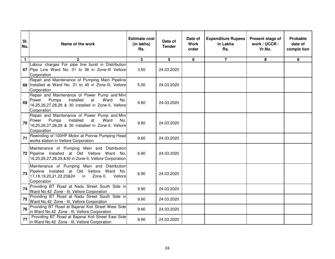| SI.<br>No.   | Name of the work                                                                                                                                                         | <b>Estimate cost</b><br>(in lakhs)<br>Rs. | Date of<br><b>Tender</b> | Date of<br><b>Work</b><br>order | <b>Expenditure Rupees</b><br>in Lakhs<br>Rs. | Present stage of<br>work / UCCR /<br>Vr.No. | Probable<br>date of<br>comple tion |
|--------------|--------------------------------------------------------------------------------------------------------------------------------------------------------------------------|-------------------------------------------|--------------------------|---------------------------------|----------------------------------------------|---------------------------------------------|------------------------------------|
| $\mathbf{1}$ | 2                                                                                                                                                                        | 3                                         | 5                        | 6                               | $\overline{7}$                               | 8                                           | 9                                  |
|              | Labour charges For pipe line burst in Distribution<br>67 Pipe Line Ward No: 31 to 38 in Zone-III Vellore<br>Corporation                                                  | 3.50                                      | 24.03.2020               |                                 |                                              |                                             |                                    |
|              | Repair and Maintenance of Pumping Main Pipeline<br>68 Installed at Ward No. 31 to 45 in Zone-III, Vellore<br>Corporation                                                 | 5.00                                      | 24.03.2020               |                                 |                                              |                                             |                                    |
| 69           | Repair and Maintenance of Power Pump and Mini<br>Installed<br>Pumps<br>at<br>Ward<br>Power<br>No.<br>16,25,26,27,28,29 & 30 installed in Zone-II, Vellore<br>Corporation | 9.80                                      | 24.03.2020               |                                 |                                              |                                             |                                    |
| 70           | Repair and Maintenance of Power Pump and Mini<br>Installed<br>Power<br>Pumps<br>at<br>Ward<br>No.<br>16,25,26,27,28,29 & 30 installed in Zone-II, Vellore<br>Corporation | 9.80                                      | 24.03.2020               |                                 |                                              |                                             |                                    |
| 71           | Rewinding of 100HP Motor at Ponnai Pumping Head<br>works station in Vellore Corporation                                                                                  | 9.60                                      | 24.03.2020               |                                 |                                              |                                             |                                    |
|              | Maintenance of Pumping Main and Distribution<br>72 Pipeline Installed at Old Vellore Ward No.<br>16,25,26,27,28,29,&30 in Zone-II, Vellore Corporation                   | 6.90                                      | 24.03.2020               |                                 |                                              |                                             |                                    |
| 73           | Maintenance of Pumping Main and Distribution<br>Pipeline Installed at Old Vellore Ward No.<br>17,18,19,20,21,22,23&24 in Zone-II,<br>Vellore<br>Corporation              | 6.90                                      | 24.03.2020               |                                 |                                              |                                             |                                    |
| 74           | Providing BT Road at Nadu Street South Side in<br>Ward No.42 Zone - III, Vellore Corporation                                                                             | 9.90                                      | 24.03.2020               |                                 |                                              |                                             |                                    |
| 75           | Providing BT Road at Nadu Street South Side in<br>Ward No.42 Zone - III, Vellore Corporation                                                                             | 9.90                                      | 24.03.2020               |                                 |                                              |                                             |                                    |
| 76           | Providing BT Road at Bajanai Koil Street West Side<br>in Ward No.42 Zone - III, Vellore Corporation                                                                      | 9.90                                      | 24.03.2020               |                                 |                                              |                                             |                                    |
| 77           | Providing BT Road at Bajanai Koil Street East Side<br>in Ward No.42 Zone - III, Vellore Corporation                                                                      | 9.90                                      | 24.03.2020               |                                 |                                              |                                             |                                    |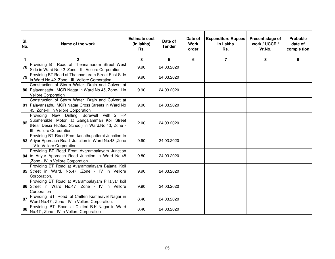| SI.<br>No.   | Name of the work                                                                                                                                                            | <b>Estimate cost</b><br>(in lakhs)<br>Rs. | Date of<br><b>Tender</b> | Date of<br><b>Work</b><br>order | <b>Expenditure Rupees</b><br>in Lakhs<br>Rs. | Present stage of<br>work / UCCR /<br>Vr.No. | Probable<br>date of<br>comple tion |
|--------------|-----------------------------------------------------------------------------------------------------------------------------------------------------------------------------|-------------------------------------------|--------------------------|---------------------------------|----------------------------------------------|---------------------------------------------|------------------------------------|
| $\mathbf{1}$ | $\mathbf{c}$                                                                                                                                                                | 3                                         | 5                        | $6\phantom{1}$                  | $\overline{7}$                               | 8                                           | 9                                  |
| 78           | Providing BT Road at Thennamaram Street West<br>Side in Ward No.42 Zone - III, Vellore Corporation                                                                          | 9.90                                      | 24.03.2020               |                                 |                                              |                                             |                                    |
| 79           | Providing BT Road at Thennamaram Street East Side<br>in Ward No.42 Zone - III, Vellore Corporation                                                                          | 9.90                                      | 24.03.2020               |                                 |                                              |                                             |                                    |
|              | Construction of Storm Water Drain and Culvert at<br>80 Palavansathu, MGR Nagar in Ward No 45, Zone-III in<br><b>Vellore Corporation</b>                                     | 9.90                                      | 24.03.2020               |                                 |                                              |                                             |                                    |
|              | Construction of Storm Water Drain and Culvert at<br>81 Palavansathu, MGR Nagar Cross Streets in Ward No<br>45, Zone-III in Vellore Corporation                              | 9.90                                      | 24.03.2020               |                                 |                                              |                                             |                                    |
| 82           | Providing New Drilling Borewell with 2 HP<br>Submersible Motor at Gangaiamman Koil Street<br>(Near Desia Hr.Sec. School) in Ward.No.43, Zone -<br>III, Vellore Corporation. | 2.00                                      | 24.03.2020               |                                 |                                              |                                             |                                    |
|              | Providing BT Road From kanathupattarai Junction to<br>83 Ariyur Approach Road Junction in Ward No.48, Zone<br>- IV in Vellore Corporation                                   | 9.90                                      | 24.03.2020               |                                 |                                              |                                             |                                    |
|              | Providing BT Road From Avarampalayam Junction<br>84 to Ariyur Approach Road Junction in Ward No.48<br>,Zone - IV in Vellore Corporation                                     | 9.80                                      | 24.03.2020               |                                 |                                              |                                             |                                    |
|              | Providing BT Road at Avarampalayam Bajanai Koil<br>85 Street in Ward. No.47 , Zone - IV in Vellore<br>Corporation.                                                          | 9.90                                      | 24.03.2020               |                                 |                                              |                                             |                                    |
|              | Providing BT Road at Avarampalayam Pillaiyar koil<br>86 Street in Ward No.47 , Zone - IV in Vellore<br>Corporation                                                          | 9.90                                      | 24.03.2020               |                                 |                                              |                                             |                                    |
| 87           | Providing BT Road at Chitteri Kumaravel Nagar in<br>Ward No.47, Zone - IV in Vellore Corporation.                                                                           | 8.40                                      | 24.03.2020               |                                 |                                              |                                             |                                    |
| 88           | Providing BT Road at Chitteri B.K Nagar in Ward<br>No.47, Zone - IV in Vellore Corporation                                                                                  | 8.40                                      | 24.03.2020               |                                 |                                              |                                             |                                    |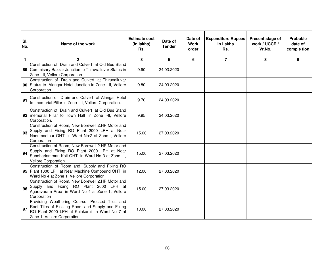| SI.<br>No.   | Name of the work                                                                                                                                                                     | <b>Estimate cost</b><br>(in lakhs)<br>Rs. | Date of<br><b>Tender</b> | Date of<br><b>Work</b><br>order | <b>Expenditure Rupees</b><br>in Lakhs<br>Rs. | Present stage of<br>work / UCCR /<br>Vr.No. | Probable<br>date of<br>comple tion |
|--------------|--------------------------------------------------------------------------------------------------------------------------------------------------------------------------------------|-------------------------------------------|--------------------------|---------------------------------|----------------------------------------------|---------------------------------------------|------------------------------------|
| $\mathbf{1}$ | $\overline{2}$                                                                                                                                                                       | $\mathbf{3}$                              | 5                        | 6                               | $\overline{7}$                               | 8                                           | 9                                  |
|              | Construction of Drain and Culvert at Old Bus Stand<br>89 Commisary Bazzar Junction to Thiruvalluvar Status in<br>Zone -II, Vellore Corporation.                                      | 9.90                                      | 24.03.2020               |                                 |                                              |                                             |                                    |
|              | Construction of Drain and Culvert at Thiruvalluvar<br>90 Status to Alangar Hotel Junction in Zone -II, Vellore<br>Corporation.                                                       | 9.80                                      | 24.03.2020               |                                 |                                              |                                             |                                    |
| 91           | Construction of Drain and Culvert at Alangar Hotel<br>to memorial Pillar in Zone -II, Vellore Corporation.                                                                           | 9.70                                      | 24.03.2020               |                                 |                                              |                                             |                                    |
|              | Construction of Drain and Culvert at Old Bus Stand<br>92   memorial Pillar to Town Hall in Zone -II, Vellore<br>Corporation.                                                         | 9.95                                      | 24.03.2020               |                                 |                                              |                                             |                                    |
| 93           | Construction of Room, New Borewell 2.HP Motor and<br>Supply and Fixing RO Plant 2000 LPH at Near<br>Nadumootour OHT in Ward No:2 at Zone-I, Vellore<br>Corporation                   | 15.00                                     | 27.03.2020               |                                 |                                              |                                             |                                    |
| 94           | Construction of Room, New Borewell 2.HP Motor and<br>Supply and Fixing RO Plant 2000 LPH at Near<br>Sundhariamman Koil OHT in Ward No 3 at Zone 1,<br><b>Vellore Corporation</b>     | 15.00                                     | 27.03.2020               |                                 |                                              |                                             |                                    |
|              | Construction of Room and Supply and Fixing RO<br>95 Plant 1000 LPH at Near Machine Compound OHT in<br>Ward No 4 at Zone 1, Vellore Corporation                                       | 12.00                                     | 27.03.2020               |                                 |                                              |                                             |                                    |
| 96           | Construction of Room, New Borewell 2.HP Motor and<br>Supply and Fixing RO Plant 2000 LPH at<br>Agaravaram Area in Ward No 4 at Zone 1, Vellore<br>Corporation                        | 15.00                                     | 27.03.2020               |                                 |                                              |                                             |                                    |
| 97           | Providing Weathering Course, Pressed Tiles and<br>Roof Tiles of Existing Room and Supply and Fixing<br>RO Plant 2000 LPH at Kulakarai in Ward No 7 at<br>Zone 1, Vellore Corporation | 10.00                                     | 27.03.2020               |                                 |                                              |                                             |                                    |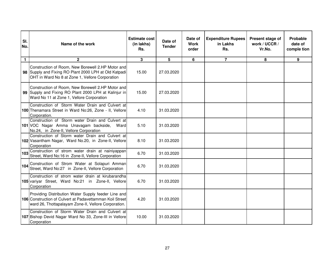| SI.<br>No.   | Name of the work                                                                                                                                                        | <b>Estimate cost</b><br>(in lakhs)<br>Rs. | Date of<br><b>Tender</b> | Date of<br><b>Work</b><br>order | <b>Expenditure Rupees</b><br>in Lakhs<br>Rs. | Present stage of<br>work / UCCR /<br>Vr.No. | Probable<br>date of<br>comple tion |
|--------------|-------------------------------------------------------------------------------------------------------------------------------------------------------------------------|-------------------------------------------|--------------------------|---------------------------------|----------------------------------------------|---------------------------------------------|------------------------------------|
| $\mathbf{1}$ | $\mathbf{2}$                                                                                                                                                            | 3                                         | 5                        | 6                               | $\overline{7}$                               | 8                                           | 9                                  |
|              | Construction of Room, New Borewell 2.HP Motor and<br>98 Supply and Fixing RO Plant 2000 LPH at Old Katpadi<br>OHT in Ward No 8 at Zone 1, Vellore Corporation           | 15.00                                     | 27.03.2020               |                                 |                                              |                                             |                                    |
|              | Construction of Room, New Borewell 2.HP Motor and<br>99 Supply and Fixing RO Plant 2000 LPH at Kalinjur in<br>Ward No 11 at Zone 1, Vellore Corporation                 | 15.00                                     | 27.03.2020               |                                 |                                              |                                             |                                    |
|              | Construction of Storm Water Drain and Culvert at<br>100 Thenamara Street in Ward No:26, Zone - II, Vellore<br>Corporation.                                              | 4.10                                      | 31.03.2020               |                                 |                                              |                                             |                                    |
|              | Construction of Storm water Drain and Culvert at<br>101 VOC Nagar Amma Unavagam backside, Ward<br>No.24, in Zone-II, Vellore Corporation                                | 5.10                                      | 31.03.2020               |                                 |                                              |                                             |                                    |
|              | Construction of Storm water Drain and Culvert at<br>102 Vasantham Nagar, Ward No.20, in Zone-II, Vellore<br>Corporation                                                 | 8.10                                      | 31.03.2020               |                                 |                                              |                                             |                                    |
|              | 103 Construction of strom water drain at nainiyappan<br>Street, Ward No:16 in Zone-II, Vellore Corporation                                                              | 6.70                                      | 31.03.2020               |                                 |                                              |                                             |                                    |
| 104          | Construction of Strom Water at Solapuri Amman<br>Street, Ward No:27 in Zone-II, Vellore Corporation                                                                     | 6.70                                      | 31.03.2020               |                                 |                                              |                                             |                                    |
|              | Construction of strom water drain at kirubarandha<br>105 variyar Street, Ward No:21 in Zone-II, Vellore<br>Corporation                                                  | 6.70                                      | 31.03.2020               |                                 |                                              |                                             |                                    |
|              | Providing Distribution Water Supply feeder Line and<br>106 Construction of Culvert at Padavettamman Koil Street<br>ward 26, Thottapalayam Zone-II, Vellore Corporation. | 4.20                                      | 31.03.2020               |                                 |                                              |                                             |                                    |
|              | Construction of Storm Water Drain and Culvert at<br>107 Bishop Devid Nagar Ward No 33, Zone-III in Vellore<br>Corporation                                               | 10.00                                     | 31.03.2020               |                                 |                                              |                                             |                                    |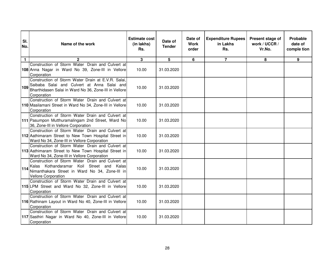| SI.<br>No.   | Name of the work                                                                                                                                                              | <b>Estimate cost</b><br>(in lakhs)<br>Rs. | Date of<br><b>Tender</b> | Date of<br><b>Work</b><br>order | <b>Expenditure Rupees</b><br>in Lakhs<br>Rs. | Present stage of<br>work / UCCR /<br>Vr.No. | Probable<br>date of<br>comple tion |
|--------------|-------------------------------------------------------------------------------------------------------------------------------------------------------------------------------|-------------------------------------------|--------------------------|---------------------------------|----------------------------------------------|---------------------------------------------|------------------------------------|
| $\mathbf{1}$ | $\overline{2}$                                                                                                                                                                | 3                                         | 5                        | 6                               | $\overline{7}$                               | 8                                           | 9                                  |
|              | Construction of Storm Water Drain and Culvert at<br>108 Anna Nagar in Ward No 39, Zone-III in Vellore<br>Corporation                                                          | 10.00                                     | 31.03.2020               |                                 |                                              |                                             |                                    |
| 109          | Construction of Storm Water Drain at E.V.R. Salai,<br>Saibaba Salai and Culvert at Anna Salai and<br>Bharthidasen Salai in Ward No 36, Zone-III in Vellore<br>Corporation     | 10.00                                     | 31.03.2020               |                                 |                                              |                                             |                                    |
|              | Construction of Storm Water Drain and Culvert at<br>110 Masilamani Street in Ward No 34, Zone-III in Vellore<br>Corporation                                                   | 10.00                                     | 31.03.2020               |                                 |                                              |                                             |                                    |
|              | Construction of Storm Water Drain and Culvert at<br>111 Pasumpon Mutthuramalingam 2nd Street, Ward No<br>36, Zone-III in Vellore Corporation                                  | 10.00                                     | 31.03.2020               |                                 |                                              |                                             |                                    |
|              | Construction of Storm Water Drain and Culvert at<br>112 Aathimaram Street to New Town Hospital Street in<br>Ward No 34, Zone-III in Vellore Corporation                       | 10.00                                     | 31.03.2020               |                                 |                                              |                                             |                                    |
|              | Construction of Storm Water Drain and Culvert at<br>113 Aathimaram Street to New Town Hospital Street in<br>Ward No 34, Zone-III in Vellore Corporation                       | 10.00                                     | 31.03.2020               |                                 |                                              |                                             |                                    |
| 114          | Construction of Storm Water Drain and Culvert at<br>Kalas Kothandaramar Koil Street and Kalas<br>Nimanthakara Street in Ward No 34, Zone-III in<br><b>Vellore Corporation</b> | 10.00                                     | 31.03.2020               |                                 |                                              |                                             |                                    |
|              | Construction of Storm Water Drain and Culvert at<br>115 LPM Street and Ward No 32, Zone-III in Vellore<br>Corporation                                                         | 10.00                                     | 31.03.2020               |                                 |                                              |                                             |                                    |
|              | Construction of Storm Water Drain and Culvert at<br>116 Rathinam Layout in Ward No 40, Zone-III in Vellore<br>Corporation                                                     | 10.00                                     | 31.03.2020               |                                 |                                              |                                             |                                    |
|              | Construction of Storm Water Drain and Culvert at<br>117 Sasthiri Nagar in Ward No 40, Zone-III in Vellore<br>Corporation                                                      | 10.00                                     | 31.03.2020               |                                 |                                              |                                             |                                    |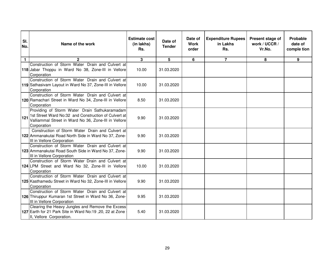| SI.<br>No.   | Name of the work                                                                                                                                                             | <b>Estimate cost</b><br>(in lakhs)<br>Rs. | Date of<br><b>Tender</b> | Date of<br><b>Work</b><br>order | <b>Expenditure Rupees</b><br>in Lakhs<br>Rs. | Present stage of<br>work / UCCR /<br>Vr.No. | Probable<br>date of<br>comple tion |
|--------------|------------------------------------------------------------------------------------------------------------------------------------------------------------------------------|-------------------------------------------|--------------------------|---------------------------------|----------------------------------------------|---------------------------------------------|------------------------------------|
| $\mathbf{1}$ | $\mathbf{2}$                                                                                                                                                                 | $\mathbf{3}$                              | 5                        | 6                               | $\overline{7}$                               | 8                                           | 9                                  |
|              | Construction of Storm Water Drain and Culvert at<br>118 Jabar Thoppu in Ward No 38, Zone-III in Vellore<br>Corporation                                                       | 10.00                                     | 31.03.2020               |                                 |                                              |                                             |                                    |
|              | Construction of Storm Water Drain and Culvert at<br>119 Sathasivam Layout in Ward No 37, Zone-III in Vellore<br>Corporation                                                  | 10.00                                     | 31.03.2020               |                                 |                                              |                                             |                                    |
|              | Construction of Storm Water Drain and Culvert at<br>120 Ramachari Street in Ward No 34, Zone-III in Vellore<br>Corporation                                                   | 8.50                                      | 31.03.2020               |                                 |                                              |                                             |                                    |
| 121          | Providing of Storm Water Drain Sathukaramadam<br>1st Street Ward No:32 and Construction of Culvert at<br>Valliammal Street in Ward No 36, Zone-III in Vellore<br>Corporation | 9.90                                      | 31.03.2020               |                                 |                                              |                                             |                                    |
|              | Construction of Storm Water Drain and Culvert at<br>122 Ammanakutai Road North Side in Ward No 37, Zone-<br>III in Vellore Corporation                                       | 9.90                                      | 31.03.2020               |                                 |                                              |                                             |                                    |
|              | Construction of Storm Water Drain and Culvert at<br>123 Ammanakutai Road South Side in Ward No 37, Zone-<br>III in Vellore Corporation                                       | 9.90                                      | 31.03.2020               |                                 |                                              |                                             |                                    |
|              | Construction of Storm Water Drain and Culvert at<br>124 LPM Street and Ward No 32, Zone-III in Vellore<br>Corporation                                                        | 10.00                                     | 31.03.2020               |                                 |                                              |                                             |                                    |
|              | Construction of Storm Water Drain and Culvert at<br>125 Kasthamedu Street in Ward No 32, Zone-III in Vellore<br>Corporation                                                  | 9.90                                      | 31.03.2020               |                                 |                                              |                                             |                                    |
|              | Construction of Storm Water Drain and Culvert at<br>126 Thiruppur Kumaran 1st Street in Ward No 36, Zone-<br>III in Vellore Corporation                                      | 9.95                                      | 31.03.2020               |                                 |                                              |                                             |                                    |
|              | Clearing the Heavy Jungles and Remove the Excess<br>127 Earth for 21 Park Site in Ward No:19, 20, 22 at Zone<br>II, Vellore Corporation.                                     | 5.40                                      | 31.03.2020               |                                 |                                              |                                             |                                    |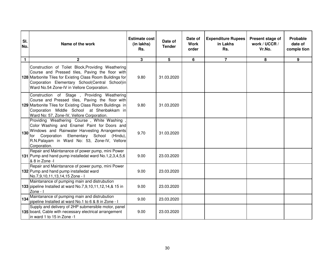| SI.<br>No.   | Name of the work                                                                                                                                                                                                                                                    | <b>Estimate cost</b><br>(in lakhs)<br>Rs. | Date of<br><b>Tender</b> | Date of<br><b>Work</b><br>order | <b>Expenditure Rupees</b><br>in Lakhs<br>Rs. | Present stage of<br>work / UCCR /<br>Vr.No. | Probable<br>date of<br>comple tion |
|--------------|---------------------------------------------------------------------------------------------------------------------------------------------------------------------------------------------------------------------------------------------------------------------|-------------------------------------------|--------------------------|---------------------------------|----------------------------------------------|---------------------------------------------|------------------------------------|
| $\mathbf{1}$ | 2 <sup>1</sup>                                                                                                                                                                                                                                                      | $\overline{3}$                            | 5                        | $6\phantom{a}$                  | $\overline{7}$                               | 8                                           | 9                                  |
|              | Construction of Toilet Block, Providing Weathering<br>Course and Pressed tiles, Paving the floor with<br>128 Marbonite Tiles for Existing Class Room Buildings for<br>Corporation Elementary School(Central School)in<br>Ward No.54 Zone-IV in Vellore Corporation. | 9.80                                      | 31.03.2020               |                                 |                                              |                                             |                                    |
|              | Construction of Stage , Providing Weathering<br>Course and Pressed tiles, Paving the floor with<br>129 Marbonite Tiles for Existing Class Room Buildings in<br>Corporation Middle School at Shenbakkam in<br>Ward No: 57, Zone-IV, Vellore Corporation.             | 9.80                                      | 31.03.2020               |                                 |                                              |                                             |                                    |
| 130          | Providing Weathering Course, White Washing<br>Color Washing and Enamel Paint for Doors and<br>Windows and Rainwater Harvesting Arrangements<br>for Corporation Elementary School (Hindu),<br>R.N.Palayam in Ward No: 53, Zone-IV, Vellore<br>Corporation.           | 9.70                                      | 31.03.2020               |                                 |                                              |                                             |                                    |
|              | Repair and Maintanance of power pump, mini Power<br>131 Pump and hand pump installedat ward No.1,2,3,4,5,6<br>& 8 in Zone -I                                                                                                                                        | 9.00                                      | 23.03.2020               |                                 |                                              |                                             |                                    |
|              | Repair and Maintanance of power pump, mini Power<br>132 Pump and hand pump installedat ward<br>No.7,9,10,11,13,14,15 Zone - I                                                                                                                                       | 9.00                                      | 23.03.2020               |                                 |                                              |                                             |                                    |
|              | Maintanance of pumping main and distrubution<br>133 pipeline Installed at ward No.7,9,10,11,12,14,& 15 in<br>Zone - I                                                                                                                                               | 9.00                                      | 23.03.2020               |                                 |                                              |                                             |                                    |
| 134          | Maintanance of pumping main and distrubution<br>pipeline Installed at ward No.1 to 6 & 8 in Zone - I                                                                                                                                                                | 9.00                                      | 23.03.2020               |                                 |                                              |                                             |                                    |
|              | Supply and delivery of 2HP submersible motor, panel<br>135 board, Cable with necessary electrical arrangement<br>in ward 1 to 15 in Zone -1                                                                                                                         | 9.00                                      | 23.03.2020               |                                 |                                              |                                             |                                    |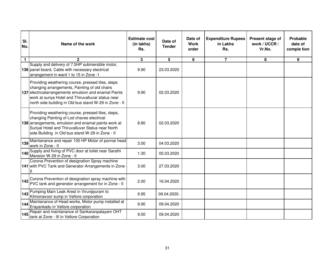| SI.<br>No.   | Name of the work                                                                                                                                                                                                                                                            | <b>Estimate cost</b><br>(in lakhs)<br>Rs. | Date of<br><b>Tender</b> | Date of<br><b>Work</b><br>order | <b>Expenditure Rupees</b><br>in Lakhs<br>Rs. | Present stage of<br>work / UCCR /<br>Vr.No. | Probable<br>date of<br>comple tion |
|--------------|-----------------------------------------------------------------------------------------------------------------------------------------------------------------------------------------------------------------------------------------------------------------------------|-------------------------------------------|--------------------------|---------------------------------|----------------------------------------------|---------------------------------------------|------------------------------------|
| $\mathbf{1}$ | $\mathbf{2}$                                                                                                                                                                                                                                                                | 3                                         | 5                        | 6                               | $\overline{7}$                               | 8                                           | 9                                  |
|              | Supply and delivery of 7.5HP submersible motor,<br>136 panel board, Cable with necessary electrical<br>arrangement in ward 1 to 15 in Zone -1                                                                                                                               | 9.90                                      | 23.03.2020               |                                 |                                              |                                             |                                    |
|              | Providing weathering course, pressed tiles, steps<br>changing arrangements, Painting of old chairs<br>137 electricalarrangements emulsion and enamal Paints<br>work at suriya Hotel and Thiruvalluvar status near<br>north side building in Old bus stand W-29 in Zone - II | 9.90                                      | 02.03.2020               |                                 |                                              |                                             |                                    |
|              | Providing weathering course, pressed tiles, steps,<br>changing Painting of Lod chaves electrical<br>138 arrangements, emulsion and enamal paints work at<br>Suriyal Hotel and Thiruvalluver Status near North<br>side Building in Old bus stand W-29 in Zone - II           | 8.80                                      | 02.03.2020               |                                 |                                              |                                             |                                    |
| 139          | Maintanance and repair 100 HP Motor of ponnai head<br>work in Zone - II                                                                                                                                                                                                     | 3.00                                      | 04.03.2020               |                                 |                                              |                                             |                                    |
| 140          | Supply and fixing of PVC door at toilet near Sarathi<br>Mansion W-29 in Zone - II                                                                                                                                                                                           | 1.30                                      | 05.03.2020               |                                 |                                              |                                             |                                    |
|              | Corona Prevention of designation Spray machine<br>141 with PVC Tank and Generator Arrangements in Zone                                                                                                                                                                      | 3.00                                      | 27.03.2020               |                                 |                                              |                                             |                                    |
| 142          | Corona Prevention of designation spray machine with<br>PVC tank and generator arrangement for in Zone - II                                                                                                                                                                  | 2.00                                      | 16.04.2020               |                                 |                                              |                                             |                                    |
| 143          | Pumping Main Leak Arest in Virunjipuram to<br>Kilmonavoor sump in Vellore corporation                                                                                                                                                                                       | 9.95                                      | 09.04.2020.              |                                 |                                              |                                             |                                    |
| 144          | Maintanance of Head works, Motor pump installed at<br>Erayankadu in Vellore corporation                                                                                                                                                                                     | 9.90                                      | 09.04.2020               |                                 |                                              |                                             |                                    |
| 145          | Repair and maintanance of Sankaranpalayam OHT<br>tank at Zone - III in Vellore Corporation                                                                                                                                                                                  | 9.00                                      | 09.04.2020               |                                 |                                              |                                             |                                    |